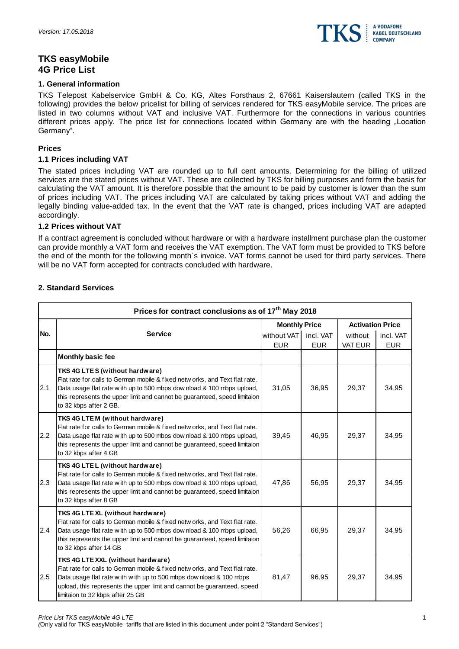

# **TKS easyMobile 4G Price List**

### **1. General information**

TKS Telepost Kabelservice GmbH & Co. KG, Altes Forsthaus 2, 67661 Kaiserslautern (called TKS in the following) provides the below pricelist for billing of services rendered for TKS easyMobile service. The prices are listed in two columns without VAT and inclusive VAT. Furthermore for the connections in various countries different prices apply. The price list for connections located within Germany are with the heading "Location Germany".

## **Prices**

### **1.1 Prices including VAT**

The stated prices including VAT are rounded up to full cent amounts. Determining for the billing of utilized services are the stated prices without VAT. These are collected by TKS for billing purposes and form the basis for calculating the VAT amount. It is therefore possible that the amount to be paid by customer is lower than the sum of prices including VAT. The prices including VAT are calculated by taking prices without VAT and adding the legally binding value-added tax. In the event that the VAT rate is changed, prices including VAT are adapted accordingly.

#### **1.2 Prices without VAT**

If a contract agreement is concluded without hardware or with a hardware installment purchase plan the customer can provide monthly a VAT form and receives the VAT exemption. The VAT form must be provided to TKS before the end of the month for the following month`s invoice. VAT forms cannot be used for third party services. There will be no VAT form accepted for contracts concluded with hardware.

## **2. Standard Services**

|     | Prices for contract conclusions as of 17 <sup>th</sup> May 2018                                                                                                                                                                                                                                      |                      |            |                         |            |
|-----|------------------------------------------------------------------------------------------------------------------------------------------------------------------------------------------------------------------------------------------------------------------------------------------------------|----------------------|------------|-------------------------|------------|
|     |                                                                                                                                                                                                                                                                                                      | <b>Monthly Price</b> |            | <b>Activation Price</b> |            |
| No. | <b>Service</b>                                                                                                                                                                                                                                                                                       | without VAT          | incl. VAT  | without                 | incl. VAT  |
|     | <b>Monthly basic fee</b>                                                                                                                                                                                                                                                                             | <b>EUR</b>           | <b>EUR</b> | VAT EUR                 | <b>EUR</b> |
| 2.1 | TKS 4G LTES (without hardware)<br>Flat rate for calls to German mobile & fixed netw orks, and Text flat rate.<br>Data usage flat rate with up to 500 mbps download & 100 mbps upload,<br>this represents the upper limit and cannot be guaranteed, speed limitaion<br>to 32 kbps after 2 GB.         | 31,05                | 36,95      | 29,37                   | 34,95      |
| 2.2 | TKS 4G LTEM (without hardware)<br>Flat rate for calls to German mobile & fixed netw orks, and Text flat rate.<br>Data usage flat rate with up to 500 mbps download & 100 mbps upload,<br>this represents the upper limit and cannot be guaranteed, speed limitaion<br>to 32 kbps after 4 GB          | 39,45                | 46,95      | 29,37                   | 34,95      |
| 2.3 | TKS 4G LTE L (without hardware)<br>Flat rate for calls to German mobile & fixed netw orks, and Text flat rate.<br>Data usage flat rate with up to 500 mbps download & 100 mbps upload,<br>this represents the upper limit and cannot be guaranteed, speed limitaion<br>to 32 kbps after 8 GB         | 47,86                | 56,95      | 29,37                   | 34,95      |
| 2.4 | TKS 4G LTE XL (without hardware)<br>Flat rate for calls to German mobile & fixed netw orks, and Text flat rate.<br>Data usage flat rate with up to 500 mbps download & 100 mbps upload,<br>this represents the upper limit and cannot be guaranteed, speed limitaion<br>to 32 kbps after 14 GB       | 56,26                | 66,95      | 29,37                   | 34,95      |
| 2.5 | TKS 4G LTE XXL (without hardware)<br>Flat rate for calls to German mobile & fixed netw orks, and Text flat rate.<br>Data usage flat rate with with up to 500 mbps download & 100 mbps<br>upload, this represents the upper limit and cannot be guaranteed, speed<br>limitaion to 32 kbps after 25 GB | 81,47                | 96,95      | 29,37                   | 34,95      |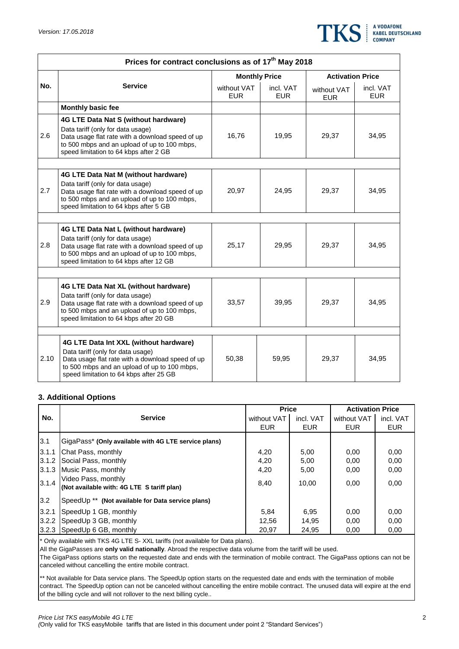

|      | Prices for contract conclusions as of 17 <sup>th</sup> May 2018                                                                                                                                                            |                           |                         |                           |                         |  |  |  |
|------|----------------------------------------------------------------------------------------------------------------------------------------------------------------------------------------------------------------------------|---------------------------|-------------------------|---------------------------|-------------------------|--|--|--|
|      |                                                                                                                                                                                                                            | <b>Monthly Price</b>      |                         | <b>Activation Price</b>   |                         |  |  |  |
| No.  | <b>Service</b>                                                                                                                                                                                                             | without VAT<br><b>EUR</b> | incl. VAT<br><b>EUR</b> | without VAT<br><b>EUR</b> | incl. VAT<br><b>EUR</b> |  |  |  |
|      | <b>Monthly basic fee</b>                                                                                                                                                                                                   |                           |                         |                           |                         |  |  |  |
| 2.6  | 4G LTE Data Nat S (without hardware)<br>Data tariff (only for data usage)<br>Data usage flat rate with a download speed of up<br>to 500 mbps and an upload of up to 100 mbps,<br>speed limitation to 64 kbps after 2 GB    | 16,76                     | 19,95                   | 29,37                     | 34,95                   |  |  |  |
|      |                                                                                                                                                                                                                            |                           |                         |                           |                         |  |  |  |
| 2.7  | 4G LTE Data Nat M (without hardware)<br>Data tariff (only for data usage)<br>Data usage flat rate with a download speed of up<br>to 500 mbps and an upload of up to 100 mbps,<br>speed limitation to 64 kbps after 5 GB    | 20,97                     | 24,95                   | 29,37                     | 34,95                   |  |  |  |
|      |                                                                                                                                                                                                                            |                           |                         |                           |                         |  |  |  |
| 2.8  | 4G LTE Data Nat L (without hardware)<br>Data tariff (only for data usage)<br>Data usage flat rate with a download speed of up<br>to 500 mbps and an upload of up to 100 mbps,<br>speed limitation to 64 kbps after 12 GB   | 25,17                     | 29,95                   | 29,37                     | 34,95                   |  |  |  |
|      |                                                                                                                                                                                                                            |                           |                         |                           |                         |  |  |  |
| 2.9  | 4G LTE Data Nat XL (without hardware)<br>Data tariff (only for data usage)<br>Data usage flat rate with a download speed of up<br>to 500 mbps and an upload of up to 100 mbps,<br>speed limitation to 64 kbps after 20 GB  | 33,57                     | 39,95                   | 29,37                     | 34,95                   |  |  |  |
|      |                                                                                                                                                                                                                            |                           |                         |                           |                         |  |  |  |
| 2.10 | 4G LTE Data Int XXL (without hardware)<br>Data tariff (only for data usage)<br>Data usage flat rate with a download speed of up<br>to 500 mbps and an upload of up to 100 mbps,<br>speed limitation to 64 kbps after 25 GB | 50,38                     | 59,95                   | 29,37                     | 34,95                   |  |  |  |

## **3. Additional Options**

|       |                                                                   | <b>Price</b> |            | <b>Activation Price</b> |            |
|-------|-------------------------------------------------------------------|--------------|------------|-------------------------|------------|
| No.   | <b>Service</b>                                                    | without VAT  | incl. VAT  | without VAT             | incl. VAT  |
|       |                                                                   | <b>EUR</b>   | <b>EUR</b> | <b>EUR</b>              | <b>EUR</b> |
| 3.1   | GigaPass* (Only available with 4G LTE service plans)              |              |            |                         |            |
| 3.1.1 | Chat Pass, monthly                                                | 4,20         | 5,00       | 0,00                    | 0,00       |
| 3.1.2 | Social Pass, monthly                                              | 4.20         | 5.00       | 0.00                    | 0.00       |
| 3.1.3 | Music Pass, monthly                                               | 4,20         | 5,00       | 0,00                    | 0,00       |
| 3.1.4 | Video Pass, monthly<br>(Not available with: 4G LTE S tariff plan) | 8,40         | 10,00      | 0,00                    | 0,00       |
| 3.2   | SpeedUp <sup>**</sup> (Not available for Data service plans)      |              |            |                         |            |
| 3.2.1 | SpeedUp 1 GB, monthly                                             | 5,84         | 6.95       | 0,00                    | 0,00       |
| 3.2.2 | SpeedUp 3 GB, monthly                                             | 12,56        | 14,95      | 0,00                    | 0,00       |
| 3.2.3 | SpeedUp 6 GB, monthly                                             | 20,97        | 24,95      | 0,00                    | 0,00       |

\* Only available with TKS 4G LTE S- XXL tariffs (not available for Data plans).

All the GigaPasses are **only valid nationally**. Abroad the respective data volume from the tariff will be used.

The GigaPass options starts on the requested date and ends with the termination of mobile contract. The GigaPass options can not be canceled without cancelling the entire mobile contract.

\*\* Not available for Data service plans. The SpeedUp option starts on the requested date and ends with the termination of mobile contract. The SpeedUp option can not be canceled without cancelling the entire mobile contract. The unused data will expire at the end of the billing cycle and will not rollover to the next billing cycle..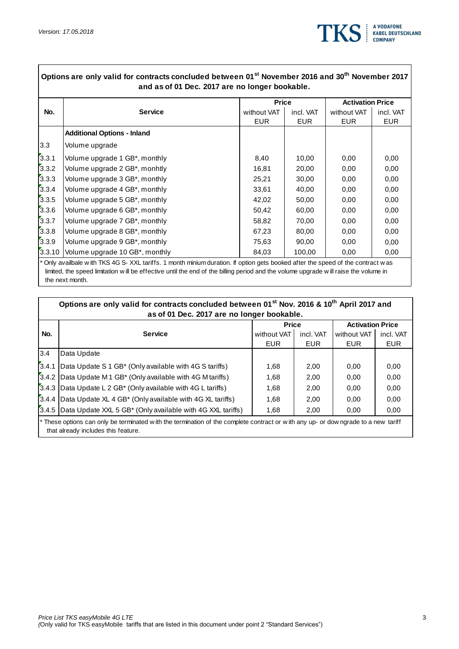$\Gamma$ 



|        |                                    |             | <b>Price</b> |             | <b>Activation Price</b> |  |
|--------|------------------------------------|-------------|--------------|-------------|-------------------------|--|
| No.    | <b>Service</b>                     | without VAT | incl. VAT    | without VAT | incl. VAT               |  |
|        |                                    | <b>EUR</b>  | <b>EUR</b>   | <b>EUR</b>  | <b>EUR</b>              |  |
|        | <b>Additional Options - Inland</b> |             |              |             |                         |  |
| 3.3    | Volume upgrade                     |             |              |             |                         |  |
| 3.3.1  | Volume upgrade 1 GB*, monthly      | 8,40        | 10,00        | 0,00        | 0,00                    |  |
| 3.3.2  | Volume upgrade 2 GB*, monhtly      | 16,81       | 20,00        | 0,00        | 0,00                    |  |
| 3.3.3  | Volume upgrade 3 GB*, monthly      | 25,21       | 30,00        | 0,00        | 0,00                    |  |
| 3.3.4  | Volume upgrade 4 GB*, monthly      | 33,61       | 40,00        | 0,00        | 0,00                    |  |
| 3.3.5  | Volume upgrade 5 GB*, monthly      | 42,02       | 50,00        | 0,00        | 0,00                    |  |
| 3.3.6  | Volume upgrade 6 GB*, monthly      | 50,42       | 60,00        | 0,00        | 0,00                    |  |
| 3.3.7  | Volume upgrade 7 GB*, monthly      | 58,82       | 70,00        | 0,00        | 0,00                    |  |
| 3.3.8  | Volume upgrade 8 GB*, monthly      | 67,23       | 80,00        | 0,00        | 0,00                    |  |
| 3.3.9  | Volume upgrade 9 GB*, monthly      | 75,63       | 90,00        | 0,00        | 0.00                    |  |
| 3.3.10 | Volume upgrade 10 GB*, monthly     | 84,03       | 100,00       | 0,00        | 0.00                    |  |

the next month.

|              | Options are only valid for contracts concluded between 01 <sup>st</sup> Nov. 2016 & 10 <sup>th</sup> April 2017 and<br>as of 01 Dec. 2017 are no longer bookable.        |             |            |             |                         |  |  |
|--------------|--------------------------------------------------------------------------------------------------------------------------------------------------------------------------|-------------|------------|-------------|-------------------------|--|--|
| <b>Price</b> |                                                                                                                                                                          |             |            |             | <b>Activation Price</b> |  |  |
| No.          | <b>Service</b>                                                                                                                                                           | without VAT | incl. VAT  | without VAT | incl. VAT               |  |  |
|              |                                                                                                                                                                          | <b>EUR</b>  | <b>EUR</b> | <b>EUR</b>  | <b>EUR</b>              |  |  |
| 3.4          | Data Update                                                                                                                                                              |             |            |             |                         |  |  |
| 3.4.1        | Data Update S 1 GB* (Only available with 4G S tariffs)                                                                                                                   | 1.68        | 2,00       | 0.00        | 0.00                    |  |  |
|              | [3.4.2   Data Update M 1 GB* (Only available with 4G M tariffs)                                                                                                          | 1.68        | 2.00       | 0.00        | 0.00                    |  |  |
|              | 3.4.3 Data Update L 2 GB <sup>*</sup> (Only available with 4G L tariffs)                                                                                                 | 1,68        | 2,00       | 0.00        | 0.00                    |  |  |
|              | [3.4.4   Data Update XL 4 GB* (Only available with 4G XL tariffs)                                                                                                        | 1.68        | 2.00       | 0.00        | 0.00                    |  |  |
|              | 3.4.5 Data Update XXL 5 GB* (Only available with 4G XXL tariffs)                                                                                                         | 1,68        | 2,00       | 0,00        | 0,00                    |  |  |
|              | * These options can only be terminated with the termination of the complete contract or with any up- or downgrade to a new tariff<br>that already includes this feature. |             |            |             |                         |  |  |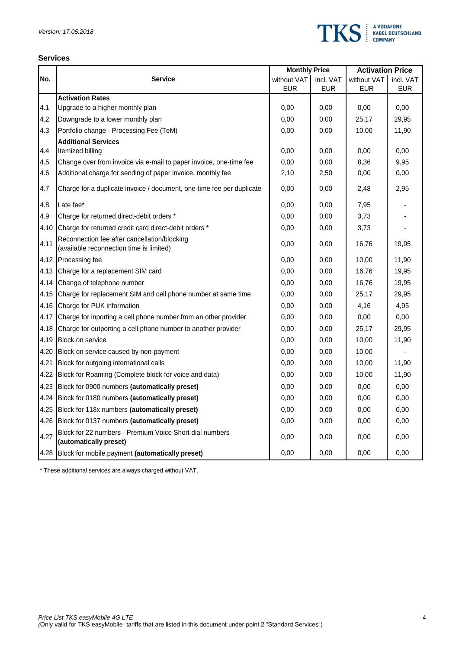

### **Services**

|      |                                                                                          | <b>Monthly Price</b> |           | <b>Activation Price</b> |            |
|------|------------------------------------------------------------------------------------------|----------------------|-----------|-------------------------|------------|
| No.  | <b>Service</b>                                                                           | without VAT          | incl. VAT | without VAT             | incl. VAT  |
|      |                                                                                          | <b>EUR</b>           | EUR       | <b>EUR</b>              | <b>EUR</b> |
|      | <b>Activation Rates</b>                                                                  |                      |           |                         |            |
| 4.1  | Upgrade to a higher monthly plan                                                         | 0,00                 | 0,00      | 0,00                    | 0,00       |
| 4.2  | Downgrade to a lower monthly plan                                                        | 0,00                 | 0,00      | 25,17                   | 29,95      |
| 4.3  | Portfolio change - Processing Fee (TeM)                                                  | 0,00                 | 0,00      | 10,00                   | 11,90      |
|      | <b>Additional Services</b>                                                               |                      |           |                         |            |
| 4.4  | Itemized billing                                                                         | 0,00                 | 0,00      | 0,00                    | 0,00       |
| 4.5  | Change over from invoice via e-mail to paper invoice, one-time fee                       | 0,00                 | 0,00      | 8,36                    | 9,95       |
| 4.6  | Additional charge for sending of paper invoice, monthly fee                              | 2,10                 | 2,50      | 0,00                    | 0,00       |
| 4.7  | Charge for a duplicate invoice / document, one-time fee per duplicate                    | 0,00                 | 0,00      | 2,48                    | 2,95       |
| 4.8  | Late fee*                                                                                | 0,00                 | 0,00      | 7,95                    |            |
| 4.9  | Charge for returned direct-debit orders *                                                | 0,00                 | 0,00      | 3,73                    |            |
| 4.10 | Charge for returned credit card direct-debit orders *                                    | 0,00                 | 0,00      | 3,73                    |            |
| 4.11 | Reconnection fee after cancellation/blocking<br>(available reconnection time is limited) | 0,00                 | 0,00      | 16,76                   | 19,95      |
| 4.12 | Processing fee                                                                           | 0,00                 | 0.00      | 10,00                   | 11,90      |
| 4.13 | Charge for a replacement SIM card                                                        | 0,00                 | 0,00      | 16,76                   | 19,95      |
| 4.14 | Change of telephone number                                                               | 0,00                 | 0,00      | 16,76                   | 19,95      |
| 4.15 | Charge for replacement SIM and cell phone number at same time                            | 0,00                 | 0,00      | 25,17                   | 29,95      |
| 4.16 | Charge for PUK information                                                               | 0,00                 | 0,00      | 4,16                    | 4,95       |
| 4.17 | Charge for inporting a cell phone number from an other provider                          | 0,00                 | 0,00      | 0,00                    | 0,00       |
| 4.18 | Charge for outporting a cell phone number to another provider                            | 0,00                 | 0,00      | 25,17                   | 29,95      |
| 4.19 | <b>Block on service</b>                                                                  | 0,00                 | 0,00      | 10,00                   | 11,90      |
| 4.20 | Block on service caused by non-payment                                                   | 0,00                 | 0,00      | 10,00                   |            |
| 4.21 | Block for outgoing international calls                                                   | 0,00                 | 0,00      | 10,00                   | 11,90      |
| 4.22 | Block for Roaming (Complete block for voice and data)                                    | 0,00                 | 0,00      | 10,00                   | 11,90      |
| 4.23 | Block for 0900 numbers (automatically preset)                                            | 0,00                 | 0,00      | 0,00                    | 0,00       |
| 4.24 | Block for 0180 numbers (automatically preset)                                            | 0,00                 | 0,00      | 0,00                    | 0,00       |
| 4.25 | Block for 118x numbers (automatically preset)                                            | 0,00                 | 0,00      | 0,00                    | 0,00       |
| 4.26 | Block for 0137 numbers (automatically preset)                                            | 0,00                 | 0,00      | 0,00                    | 0,00       |
| 4.27 | Block for 22 numbers - Premium Voice Short dial numbers<br>(automatically preset)        | 0,00                 | 0,00      | 0,00                    | 0,00       |
| 4.28 | Block for mobile payment (automatically preset)                                          | 0,00                 | 0,00      | 0,00                    | 0,00       |

\* These additional services are always charged without VAT.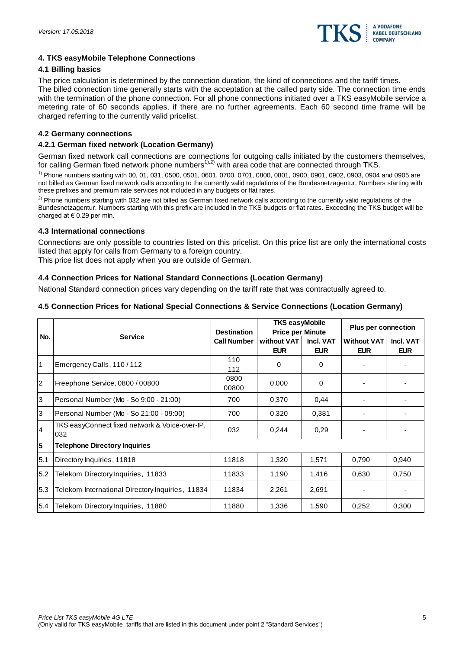

### **4. TKS easyMobile Telephone Connections**

#### **4.1 Billing basics**

The price calculation is determined by the connection duration, the kind of connections and the tariff times. The billed connection time generally starts with the acceptation at the called party side. The connection time ends with the termination of the phone connection. For all phone connections initiated over a TKS easyMobile service a metering rate of 60 seconds applies, if there are no further agreements. Each 60 second time frame will be charged referring to the currently valid pricelist.

#### **4.2 Germany connections**

#### **4.2.1 German fixed network (Location Germany)**

German fixed network call connections are connections for outgoing calls initiated by the customers themselves, for calling German fixed network phone numbers<sup>1),2)</sup> with area code that are connected through TKS.

1) Phone numbers starting with 00, 01, 031, 0500, 0501, 0601, 0700, 0701, 0800, 0801, 0900, 0901, 0902, 0903, 0904 and 0905 are not billed as German fixed network calls according to the currently valid regulations of the Bundesnetzagentur. Numbers starting with these prefixes and premium rate services not included in any budgets or flat rates.

<sup>2)</sup> Phone numbers starting with 032 are not billed as German fixed network calls according to the currently valid regulations of the Bundesnetzagentur. Numbers starting with this prefix are included in the TKS budgets or flat rates. Exceeding the TKS budget will be charged at  $\in$  0.29 per min.

#### **4.3 International connections**

Connections are only possible to countries listed on this pricelist. On this price list are only the international costs listed that apply for calls from Germany to a foreign country.

This price list does not apply when you are outside of German.

## **4.4 Connection Prices for National Standard Connections (Location Germany)**

National Standard connection prices vary depending on the tariff rate that was contractually agreed to.

|                |                                                       | <b>Destination</b> | <b>TKS easyMobile</b><br><b>Price per Minute</b> |                         | <b>Plus per connection</b>       |                         |
|----------------|-------------------------------------------------------|--------------------|--------------------------------------------------|-------------------------|----------------------------------|-------------------------|
| No.            | <b>Service</b>                                        | <b>Call Number</b> | without VAT<br><b>EUR</b>                        | Incl. VAT<br><b>EUR</b> | <b>Without VAT</b><br><b>EUR</b> | Incl. VAT<br><b>EUR</b> |
| 1              | Emergency Calls, 110/112                              | 110<br>112         | 0                                                | 0                       |                                  |                         |
| $\overline{2}$ | Freephone Service, 0800 / 00800                       | 0800<br>00800      | 0,000                                            | $\Omega$                |                                  |                         |
| 3              | Personal Number (Mo - So 9:00 - 21:00)                | 700                | 0,370                                            | 0,44                    |                                  |                         |
| 3              | Personal Number (Mo - So 21:00 - 09:00)               | 700                | 0,320                                            | 0,381                   |                                  |                         |
| 4              | TKS easyConnect fixed network & Voice-over-IP,<br>032 | 032                | 0,244                                            | 0,29                    |                                  |                         |
| 5              | <b>Telephone Directory Inquiries</b>                  |                    |                                                  |                         |                                  |                         |
| 5.1            | Directory Inquiries, 11818                            | 11818              | 1,320                                            | 1,571                   | 0,790                            | 0,940                   |
| 5.2            | Telekom Directory Inquiries, 11833                    | 11833              | 1,190                                            | 1,416                   | 0.630                            | 0,750                   |
| 5.3            | Telekom International Directory Inquiries, 11834      | 11834              | 2,261                                            | 2,691                   |                                  |                         |
| 5.4            | Telekom Directory Inquiries, 11880                    | 11880              | 1,336                                            | 1,590                   | 0,252                            | 0,300                   |

## **4.5 Connection Prices for National Special Connections & Service Connections (Location Germany)**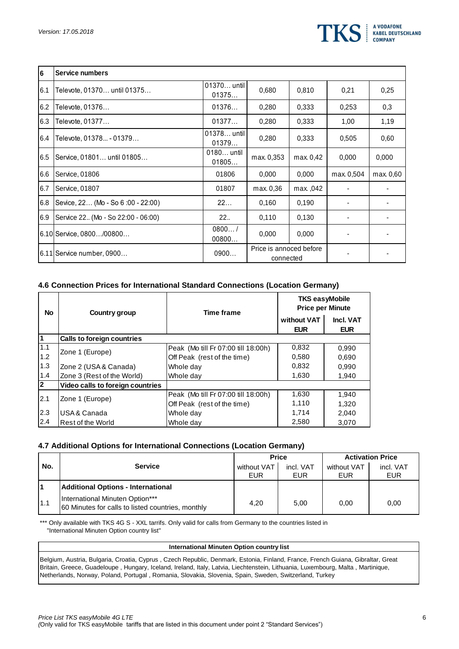

| 6   | <b>Service numbers</b>             |                      |                                      |           |            |           |
|-----|------------------------------------|----------------------|--------------------------------------|-----------|------------|-----------|
| 6.1 | Televote, 01370 until 01375        | 01370 until<br>01375 | 0,680                                | 0,810     | 0,21       | 0,25      |
| 6.2 | Televote, 01376                    | 01376                | 0.280                                | 0,333     | 0.253      | 0,3       |
| 6.3 | Televote, 01377                    | 01377                | 0.280                                | 0.333     | 1,00       | 1,19      |
| 6.4 | Televote, 01378 - 01379            | 01378 until<br>01379 | 0.280                                | 0,333     | 0,505      | 0,60      |
| 6.5 | Service, 01801 until 01805         | 0180 until<br>01805  | max. 0,353                           | max. 0,42 | 0,000      | 0,000     |
| 6.6 | Service, 01806                     | 01806                | 0.000                                | 0,000     | max. 0,504 | max. 0.60 |
| 6.7 | Service, 01807                     | 01807                | max. 0,36                            | max. ,042 |            |           |
| 6.8 | Sevice, 22 (Mo - So 6:00 - 22:00)  | 22                   | 0.160                                | 0.190     |            |           |
| 6.9 | Service 22 (Mo - So 22:00 - 06:00) | 22.                  | 0.110                                | 0.130     |            |           |
|     | 6.10 Service, 0800…/00800…         | 0800/<br>00800       | 0,000                                | 0.000     |            |           |
|     | 6.11 Service number. 0900          | 0900                 | Price is annoced before<br>connected |           |            |           |

## **4.6 Connection Prices for International Standard Connections (Location Germany)**

| <b>No</b> | Country group                    | <b>Time frame</b>                   | <b>TKS easyMobile</b><br><b>Price per Minute</b> |                         |  |
|-----------|----------------------------------|-------------------------------------|--------------------------------------------------|-------------------------|--|
|           |                                  |                                     | without VAT<br><b>EUR</b>                        | Incl. VAT<br><b>EUR</b> |  |
| l1        | Calls to foreign countries       |                                     |                                                  |                         |  |
| 1.1       | Zone 1 (Europe)                  | Peak (Mo till Fr 07:00 till 18:00h) | 0,832                                            | 0,990                   |  |
| 1.2       |                                  | Off Peak (rest of the time)         | 0,580                                            | 0.690                   |  |
| 1.3       | Zone 2 (USA & Canada)            | Whole day                           | 0,832                                            | 0,990                   |  |
| 1.4       | Zone 3 (Rest of the World)       | Whole day                           | 1,630                                            | 1.940                   |  |
| 2         | Video calls to foreign countries |                                     |                                                  |                         |  |
| 2.1       | Zone 1 (Europe)                  | Peak (Mo till Fr 07:00 till 18:00h) | 1,630                                            | 1,940                   |  |
|           |                                  | Off Peak (rest of the time)         | 1,110                                            | 1,320                   |  |
| 2.3       | USA & Canada                     | Whole day                           | 1,714                                            | 2,040                   |  |
| 2.4       | Rest of the World                | Whole day                           | 2,580                                            | 3.070                   |  |

### **4.7 Additional Options for International Connections (Location Germany)**

|     |                                                                                      | <b>Price</b> |            | <b>Activation Price</b> |            |
|-----|--------------------------------------------------------------------------------------|--------------|------------|-------------------------|------------|
| No. | <b>Service</b>                                                                       | without VAT  | incl. VAT  | without VAT             | incl. VAT  |
|     |                                                                                      | EUR          | <b>EUR</b> | EUR                     | <b>EUR</b> |
|     | Additional Options - International                                                   |              |            |                         |            |
| 1.1 | International Minuten Option***<br>60 Minutes for calls to listed countries, monthly | 4.20         | 5,00       | 0.00                    | 0.00       |

\*\*\* Only available with TKS 4G S - XXL tarrifs. Only valid for calls from Germany to the countries listed in "International Minuten Option country list"

#### **International Minuten Option country list**

Belgium, Austria, Bulgaria, Croatia, Cyprus , Czech Republic, Denmark, Estonia, Finland, France, French Guiana, Gibraltar, Great Britain, Greece, Guadeloupe , Hungary, Iceland, Ireland, Italy, Latvia, Liechtenstein, Lithuania, Luxembourg, Malta , Martinique, Netherlands, Norway, Poland, Portugal , Romania, Slovakia, Slovenia, Spain, Sweden, Switzerland, Turkey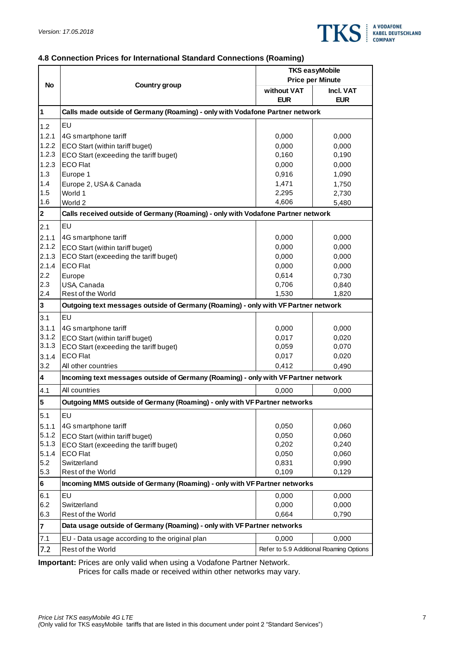

# **4.8 Connection Prices for International Standard Connections (Roaming)**

|                |                                                                                    | <b>TKS easyMobile</b><br><b>Price per Minute</b> |                                         |  |  |
|----------------|------------------------------------------------------------------------------------|--------------------------------------------------|-----------------------------------------|--|--|
| <b>No</b>      | Country group                                                                      | without VAT                                      | Incl. VAT                               |  |  |
|                |                                                                                    | <b>EUR</b>                                       | <b>EUR</b>                              |  |  |
| $\vert$ 1      | Calls made outside of Germany (Roaming) - only with Vodafone Partner network       |                                                  |                                         |  |  |
| 1.2            | EU                                                                                 |                                                  |                                         |  |  |
| 1.2.1          | 4G smartphone tariff                                                               | 0,000                                            | 0,000                                   |  |  |
| 1.2.2          | ECO Start (within tariff buget)                                                    | 0,000                                            | 0,000                                   |  |  |
| 1.2.3          | ECO Start (exceeding the tariff buget)                                             | 0,160                                            | 0,190                                   |  |  |
| 1.2.3          | <b>ECO Flat</b>                                                                    | 0,000                                            | 0,000                                   |  |  |
| 1.3            | Europe 1                                                                           | 0,916                                            | 1,090                                   |  |  |
| 1.4            | Europe 2, USA & Canada                                                             | 1,471                                            | 1,750                                   |  |  |
| 1.5            | World 1                                                                            | 2,295                                            | 2,730                                   |  |  |
| 1.6            | World 2                                                                            | 4,606                                            | 5,480                                   |  |  |
| $\overline{2}$ | Calls received outside of Germany (Roaming) - only with Vodafone Partner network   |                                                  |                                         |  |  |
| 2.1            | EU                                                                                 |                                                  |                                         |  |  |
| 2.1.1          | 4G smartphone tariff                                                               | 0,000                                            | 0,000                                   |  |  |
| 2.1.2          | ECO Start (within tariff buget)                                                    | 0,000                                            | 0,000                                   |  |  |
| 2.1.3          | ECO Start (exceeding the tariff buget)                                             | 0,000                                            | 0,000                                   |  |  |
| 2.1.4          | <b>ECO Flat</b>                                                                    | 0,000                                            | 0,000                                   |  |  |
| 2.2            | Europe                                                                             | 0,614                                            | 0,730                                   |  |  |
| 2.3            | USA, Canada                                                                        | 0,706                                            | 0,840                                   |  |  |
| 2.4            | Rest of the World                                                                  | 1,530                                            | 1,820                                   |  |  |
| $\vert$ 3      | Outgoing text messages outside of Germany (Roaming) - only with VF Partner network |                                                  |                                         |  |  |
| 3.1            | EU                                                                                 |                                                  |                                         |  |  |
| 3.1.1          | 4G smartphone tariff                                                               | 0,000                                            | 0,000                                   |  |  |
| 3.1.2          | ECO Start (within tariff buget)                                                    | 0,017                                            | 0,020                                   |  |  |
| 3.1.3          | ECO Start (exceeding the tariff buget)                                             | 0,059                                            | 0,070                                   |  |  |
| 3.1.4          | <b>ECO Flat</b>                                                                    | 0,017                                            | 0,020                                   |  |  |
| 3.2            | All other countries                                                                | 0,412                                            | 0,490                                   |  |  |
| 4              | Incoming text messages outside of Germany (Roaming) - only with VF Partner network |                                                  |                                         |  |  |
| 4.1            | All countries                                                                      | 0,000                                            | 0,000                                   |  |  |
| 5              | Outgoing MMS outside of Germany (Roaming) - only with VF Partner networks          |                                                  |                                         |  |  |
| 5.1            | EU                                                                                 |                                                  |                                         |  |  |
| 5.1.1          | 4G smartphone tariff                                                               | 0,050                                            | 0,060                                   |  |  |
| 5.1.2          | ECO Start (within tariff buget)                                                    | 0,050                                            | 0,060                                   |  |  |
| 5.1.3          | ECO Start (exceeding the tariff buget)                                             | 0,202                                            | 0,240                                   |  |  |
| 5.1.4          | <b>ECO Flat</b>                                                                    | 0,050                                            | 0,060                                   |  |  |
| 5.2            | Switzerland                                                                        | 0,831                                            | 0,990                                   |  |  |
| 5.3            | Rest of the World                                                                  | 0,109                                            | 0,129                                   |  |  |
| 6              | Incoming MMS outside of Germany (Roaming) - only with VF Partner networks          |                                                  |                                         |  |  |
| 6.1            | EU                                                                                 | 0,000                                            | 0,000                                   |  |  |
| 6.2            | Switzerland                                                                        | 0,000                                            | 0,000                                   |  |  |
| 6.3            | Rest of the World                                                                  | 0,664                                            | 0,790                                   |  |  |
| $\overline{7}$ | Data usage outside of Germany (Roaming) - only with VF Partner networks            |                                                  |                                         |  |  |
| 7.1            | EU - Data usage according to the original plan                                     | 0,000                                            | 0,000                                   |  |  |
| 7.2            | Rest of the World                                                                  |                                                  | Refer to 5.9 Additional Roaming Options |  |  |

**Important:** Prices are only valid when using a Vodafone Partner Network.

Prices for calls made or received within other networks may vary.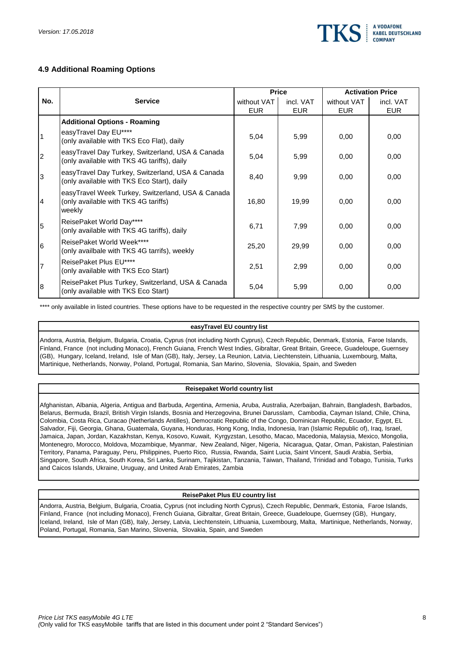

# **4.9 Additional Roaming Options**

|                |                                                                                                     |                           | <b>Price</b>            | <b>Activation Price</b>   |                         |  |
|----------------|-----------------------------------------------------------------------------------------------------|---------------------------|-------------------------|---------------------------|-------------------------|--|
| No.            | <b>Service</b>                                                                                      | without VAT<br><b>EUR</b> | incl. VAT<br><b>EUR</b> | without VAT<br><b>EUR</b> | incl. VAT<br><b>EUR</b> |  |
|                | <b>Additional Options - Roaming</b>                                                                 |                           |                         |                           |                         |  |
| 1              | easyTravel Day EU****<br>(only available with TKS Eco Flat), daily                                  | 5,04                      | 5,99                    | 0,00                      | 0,00                    |  |
| $\overline{2}$ | easyTravel Day Turkey, Switzerland, USA & Canada<br>(only available with TKS 4G tariffs), daily     | 5,04                      | 5,99                    | 0,00                      | 0,00                    |  |
| 3              | easyTravel Day Turkey, Switzerland, USA & Canada<br>(only available with TKS Eco Start), daily      | 8,40                      | 9,99                    | 0,00                      | 0,00                    |  |
| 4              | easyTravel Week Turkey, Switzerland, USA & Canada<br>(only available with TKS 4G tariffs)<br>weekly | 16,80                     | 19,99                   | 0,00                      | 0,00                    |  |
| 5              | ReisePaket World Day****<br>(only available with TKS 4G tariffs), daily                             | 6,71                      | 7,99                    | 0,00                      | 0,00                    |  |
| 6              | ReisePaket World Week****<br>(only availbale with TKS 4G tarrifs), weekly                           | 25,20                     | 29,99                   | 0,00                      | 0,00                    |  |
| $\overline{7}$ | ReisePaket Plus EU****<br>(only available with TKS Eco Start)                                       | 2,51                      | 2,99                    | 0,00                      | 0,00                    |  |
| 8              | ReisePaket Plus Turkey, Switzerland, USA & Canada<br>(only available with TKS Eco Start)            | 5,04                      | 5,99                    | 0,00                      | 0,00                    |  |

\*\*\*\* only available in listed countries. These options have to be requested in the respective country per SMS by the customer.

#### **easyTravel EU country list**

Andorra, Austria, Belgium, Bulgaria, Croatia, Cyprus (not including North Cyprus), Czech Republic, Denmark, Estonia, Faroe Islands, Finland, France (not including Monaco), French Guiana, French West Indies, Gibraltar, Great Britain, Greece, Guadeloupe, Guernsey (GB), Hungary, Iceland, Ireland, Isle of Man (GB), Italy, Jersey, La Reunion, Latvia, Liechtenstein, Lithuania, Luxembourg, Malta, Martinique, Netherlands, Norway, Poland, Portugal, Romania, San Marino, Slovenia, Slovakia, Spain, and Sweden

#### **Reisepaket World country list**

Afghanistan, Albania, Algeria, Antigua and Barbuda, Argentina, Armenia, Aruba, Australia, Azerbaijan, Bahrain, Bangladesh, Barbados, Belarus, Bermuda, Brazil, British Virgin Islands, Bosnia and Herzegovina, Brunei Darusslam, Cambodia, Cayman Island, Chile, China, Colombia, Costa Rica, Curacao (Netherlands Antilles), Democratic Republic of the Congo, Dominican Republic, Ecuador, Egypt, EL Salvador, Fiji, Georgia, Ghana, Guatemala, Guyana, Honduras, Hong Kong, India, Indonesia, Iran (Islamic Republic of), Iraq, Israel, Jamaica, Japan, Jordan, Kazakhstan, Kenya, Kosovo, Kuwait, Kyrgyzstan, Lesotho, Macao, Macedonia, Malaysia, Mexico, Mongolia, Montenegro, Morocco, Moldova, Mozambique, Myanmar, New Zealand, Niger, Nigeria, Nicaragua, Qatar, Oman, Pakistan, Palestinian Territory, Panama, Paraguay, Peru, Philippines, Puerto Rico, Russia, Rwanda, Saint Lucia, Saint Vincent, Saudi Arabia, Serbia, Singapore, South Africa, South Korea, Sri Lanka, Surinam, Tajikistan, Tanzania, Taiwan, Thailand, Trinidad and Tobago, Tunisia, Turks and Caicos Islands, Ukraine, Uruguay, and United Arab Emirates, Zambia

#### **ReisePaket Plus EU country list**

Andorra, Austria, Belgium, Bulgaria, Croatia, Cyprus (not including North Cyprus), Czech Republic, Denmark, Estonia, Faroe Islands, Finland, France (not including Monaco), French Guiana, Gibraltar, Great Britain, Greece, Guadeloupe, Guernsey (GB), Hungary, Iceland, Ireland, Isle of Man (GB), Italy, Jersey, Latvia, Liechtenstein, Lithuania, Luxembourg, Malta, Martinique, Netherlands, Norway, Poland, Portugal, Romania, San Marino, Slovenia, Slovakia, Spain, and Sweden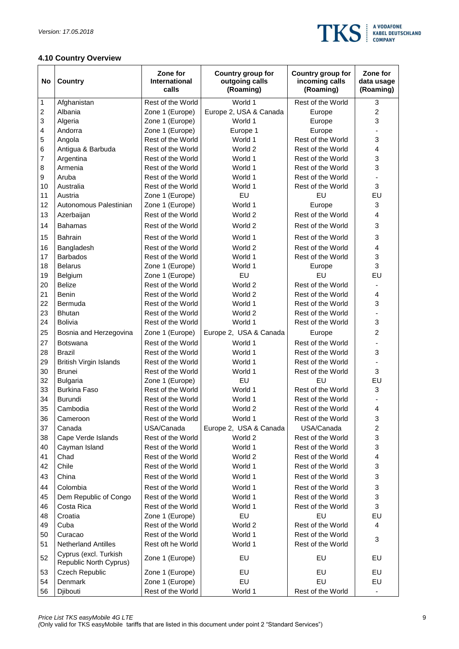

# **4.10 Country Overview**

| No | Country                                         | Zone for<br><b>International</b><br>calls | Country group for<br>outgoing calls<br>(Roaming) | Country group for<br>incoming calls<br>(Roaming) | Zone for<br>data usage<br>(Roaming) |
|----|-------------------------------------------------|-------------------------------------------|--------------------------------------------------|--------------------------------------------------|-------------------------------------|
| 1  | Afghanistan                                     | Rest of the World                         | World 1                                          | Rest of the World                                | 3                                   |
| 2  | Albania                                         | Zone 1 (Europe)                           | Europe 2, USA & Canada                           | Europe                                           | $\overline{2}$                      |
| 3  | Algeria                                         | Zone 1 (Europe)                           | World 1                                          | Europe                                           | 3                                   |
| 4  | Andorra                                         | Zone 1 (Europe)                           | Europe 1                                         | Europe                                           |                                     |
| 5  | Angola                                          | Rest of the World                         | World 1                                          | Rest of the World                                | 3                                   |
| 6  | Antigua & Barbuda                               | Rest of the World                         | World 2                                          | Rest of the World                                | 4                                   |
| 7  | Argentina                                       | Rest of the World                         | World 1                                          | Rest of the World                                | 3                                   |
| 8  | Armenia                                         | Rest of the World                         | World 1                                          | Rest of the World                                | 3                                   |
| 9  | Aruba                                           | Rest of the World                         | World 1                                          | Rest of the World                                |                                     |
| 10 | Australia                                       | Rest of the World                         | World 1                                          | Rest of the World                                | 3                                   |
| 11 | Austria                                         | Zone 1 (Europe)                           | EU                                               | EU                                               | EU                                  |
| 12 | Autonomous Palestinian                          | Zone 1 (Europe)                           | World 1                                          | Europe                                           | 3                                   |
| 13 | Azerbaijan                                      | Rest of the World                         | World 2                                          | Rest of the World                                | 4                                   |
| 14 | <b>Bahamas</b>                                  | Rest of the World                         | World 2                                          | Rest of the World                                | 3                                   |
| 15 | <b>Bahrain</b>                                  | Rest of the World                         | World 1                                          | Rest of the World                                | 3                                   |
| 16 | Bangladesh                                      | Rest of the World                         | World 2                                          | Rest of the World                                | 4                                   |
| 17 | <b>Barbados</b>                                 | Rest of the World                         | World 1                                          | Rest of the World                                | 3                                   |
| 18 | <b>Belarus</b>                                  | Zone 1 (Europe)                           | World 1                                          | Europe                                           | 3                                   |
| 19 | Belgium                                         | Zone 1 (Europe)                           | EU                                               | EU                                               | EU                                  |
| 20 | <b>Belize</b>                                   | Rest of the World                         | World 2                                          | Rest of the World                                |                                     |
| 21 | <b>Benin</b>                                    | Rest of the World                         | World 2                                          | Rest of the World                                | 4                                   |
| 22 | Bermuda                                         | Rest of the World                         | World 1                                          | Rest of the World                                | 3                                   |
| 23 | <b>Bhutan</b>                                   | Rest of the World                         | World 2                                          | Rest of the World                                |                                     |
| 24 | <b>Bolivia</b>                                  | Rest of the World                         | World 1                                          | Rest of the World                                | 3                                   |
| 25 | Bosnia and Herzegovina                          | Zone 1 (Europe)                           | Europe 2, USA & Canada                           | Europe                                           | $\overline{c}$                      |
| 27 | Botswana                                        | Rest of the World                         | World 1                                          | Rest of the World                                |                                     |
| 28 | <b>Brazil</b>                                   | Rest of the World                         | World 1                                          | Rest of the World                                | 3                                   |
| 29 | <b>British Virgin Islands</b>                   | Rest of the World                         | World 1                                          | Rest of the World                                |                                     |
| 30 | <b>Brunei</b>                                   | Rest of the World                         | World 1                                          | Rest of the World                                | 3                                   |
| 32 | <b>Bulgaria</b>                                 | Zone 1 (Europe)                           | EU                                               | EU                                               | EU                                  |
| 33 | <b>Burkina Faso</b>                             | Rest of the World                         | World 1                                          | Rest of the World                                | 3                                   |
| 34 | Burundi                                         | Rest of the World                         | World 1                                          | Rest of the World                                |                                     |
| 35 | Cambodia                                        | Rest of the World                         | World 2                                          | Rest of the World                                | 4                                   |
| 36 | Cameroon                                        | Rest of the World                         | World 1                                          | Rest of the World                                | 3                                   |
| 37 | Canada                                          | USA/Canada                                | Europe 2, USA & Canada                           | USA/Canada                                       | $\overline{c}$                      |
| 38 | Cape Verde Islands                              | Rest of the World                         | World 2                                          | Rest of the World                                | 3                                   |
| 40 | Cayman Island                                   | Rest of the World                         | World 1                                          | Rest of the World                                | 3                                   |
| 41 | Chad                                            | Rest of the World                         | World 2                                          | Rest of the World                                | 4                                   |
| 42 | Chile                                           | Rest of the World                         | World 1                                          | Rest of the World                                | 3                                   |
| 43 | China                                           | Rest of the World                         | World 1                                          | Rest of the World                                | 3                                   |
| 44 | Colombia                                        | Rest of the World                         | World 1                                          | Rest of the World                                | 3                                   |
| 45 | Dem Republic of Congo                           | Rest of the World                         | World 1                                          | Rest of the World                                | 3                                   |
| 46 | Costa Rica                                      | Rest of the World                         | World 1                                          | Rest of the World                                | 3                                   |
| 48 | Croatia                                         | Zone 1 (Europe)                           | EU                                               | EU                                               | EU                                  |
| 49 | Cuba                                            | Rest of the World                         | World 2                                          | Rest of the World                                | 4                                   |
| 50 | Curacao                                         | Rest of the World                         | World 1                                          | Rest of the World                                |                                     |
| 51 | <b>Netherland Antilles</b>                      | Rest oft he World                         | World 1                                          | Rest of the World                                | 3                                   |
| 52 | Cyprus (excl. Turkish<br>Republic North Cyprus) | Zone 1 (Europe)                           | EU                                               | EU                                               | EU                                  |
| 53 | Czech Republic                                  | Zone 1 (Europe)                           | EU                                               | EU                                               | EU                                  |
| 54 | Denmark                                         | Zone 1 (Europe)                           | EU                                               | EU                                               | EU                                  |
| 56 | Djibouti                                        | Rest of the World                         | World 1                                          | Rest of the World                                | $\overline{\phantom{a}}$            |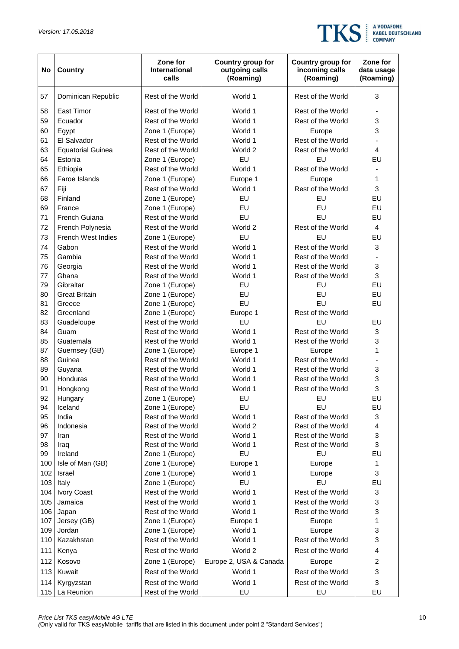

| No  | Country                   | Zone for<br>International<br>calls | Country group for<br>outgoing calls<br>(Roaming) | Country group for<br>incoming calls<br>(Roaming) | Zone for<br>data usage<br>(Roaming) |
|-----|---------------------------|------------------------------------|--------------------------------------------------|--------------------------------------------------|-------------------------------------|
| 57  | Dominican Republic        | Rest of the World                  | World 1                                          | Rest of the World                                | 3                                   |
| 58  | <b>East Timor</b>         | Rest of the World                  | World 1                                          | Rest of the World                                | $\overline{\phantom{a}}$            |
| 59  | Ecuador                   | Rest of the World                  | World 1                                          | Rest of the World                                | 3                                   |
| 60  | Egypt                     | Zone 1 (Europe)                    | World 1                                          | Europe                                           | 3                                   |
| 61  | El Salvador               | Rest of the World                  | World 1                                          | Rest of the World                                |                                     |
| 63  | <b>Equatorial Guinea</b>  | Rest of the World                  | World 2                                          | Rest of the World                                | 4                                   |
| 64  | Estonia                   | Zone 1 (Europe)                    | EU                                               | EU                                               | EU                                  |
| 65  | Ethiopia                  | Rest of the World                  | World 1                                          | Rest of the World                                |                                     |
| 66  | Faroe Islands             | Zone 1 (Europe)                    | Europe 1                                         | Europe                                           | 1                                   |
| 67  | Fiji                      | Rest of the World                  | World 1                                          | Rest of the World                                | 3                                   |
| 68  | Finland                   | Zone 1 (Europe)                    | EU                                               | EU                                               | EU                                  |
| 69  | France                    | Zone 1 (Europe)                    | EU                                               | EU                                               | EU                                  |
| 71  | French Guiana             | Rest of the World                  | EU                                               | EU                                               | EU                                  |
| 72  | French Polynesia          | Rest of the World                  | World 2                                          | Rest of the World                                | 4                                   |
| 73  | <b>French West Indies</b> | Zone 1 (Europe)                    | EU                                               | EU                                               | EU                                  |
| 74  | Gabon                     | Rest of the World                  | World 1                                          | Rest of the World                                | 3                                   |
| 75  | Gambia                    | Rest of the World                  | World 1                                          | Rest of the World                                |                                     |
| 76  | Georgia                   | Rest of the World                  | World 1                                          | Rest of the World                                | 3                                   |
| 77  | Ghana                     | Rest of the World                  | World 1                                          | Rest of the World                                | 3                                   |
| 79  | Gibraltar                 | Zone 1 (Europe)                    | EU                                               | EU                                               | EU                                  |
| 80  | <b>Great Britain</b>      | Zone 1 (Europe)                    | EU                                               | EU                                               | EU                                  |
| 81  | Greece                    | Zone 1 (Europe)                    | EU                                               | EU                                               | EU                                  |
| 82  | Greenland                 | Zone 1 (Europe)                    | Europe 1                                         | Rest of the World                                |                                     |
| 83  | Guadeloupe                | Rest of the World                  | EU                                               | EU                                               | EU                                  |
| 84  | Guam                      | Rest of the World                  | World 1                                          | Rest of the World                                | 3                                   |
| 85  | Guatemala                 | Rest of the World                  | World 1                                          | Rest of the World                                | 3                                   |
| 87  | Guernsey (GB)             | Zone 1 (Europe)                    | Europe 1                                         | Europe                                           | 1                                   |
| 88  | Guinea                    | Rest of the World                  | World 1                                          | Rest of the World                                |                                     |
| 89  | Guyana                    | Rest of the World                  | World 1                                          | Rest of the World                                | 3                                   |
| 90  | Honduras                  | Rest of the World                  | World 1                                          | Rest of the World                                | 3                                   |
| 91  | Hongkong                  | Rest of the World                  | World 1                                          | Rest of the World                                | 3                                   |
| 92  | Hungary                   | Zone 1 (Europe)                    | EU                                               | EU                                               | EU                                  |
| 94  | Iceland                   | Zone 1 (Europe)                    | EU                                               | EU                                               | EU                                  |
| 95  | India                     | Rest of the World                  | World 1                                          | Rest of the World                                | 3                                   |
| 96  | Indonesia                 | Rest of the World                  | World 2                                          | Rest of the World                                | 4                                   |
| 97  | Iran                      | Rest of the World                  | World 1                                          | Rest of the World                                | 3                                   |
| 98  | Iraq                      | Rest of the World                  | World 1                                          | Rest of the World                                | 3                                   |
| 99  | Ireland                   | Zone 1 (Europe)                    | EU                                               | EU                                               | EU                                  |
| 100 | Isle of Man (GB)          | Zone 1 (Europe)                    | Europe 1                                         | Europe                                           | 1                                   |
| 102 | Israel                    | Zone 1 (Europe)                    | World 1                                          | Europe                                           | 3                                   |
| 103 | Italy                     | Zone 1 (Europe)                    | EU                                               | EU                                               | EU                                  |
| 104 | Ivory Coast               | Rest of the World                  | World 1                                          | Rest of the World                                | 3                                   |
| 105 | Jamaica                   | Rest of the World                  | World 1                                          | Rest of the World                                | 3                                   |
| 106 | Japan                     | Rest of the World                  | World 1                                          | Rest of the World                                | 3                                   |
| 107 | Jersey (GB)               | Zone 1 (Europe)                    | Europe 1                                         | Europe                                           | $\mathbf{1}$                        |
| 109 | Jordan                    | Zone 1 (Europe)                    | World 1                                          | Europe                                           | 3                                   |
| 110 | Kazakhstan                | Rest of the World                  | World 1                                          | Rest of the World                                | 3                                   |
| 111 | Kenya                     | Rest of the World                  | World 2                                          | Rest of the World                                | 4                                   |
| 112 | Kosovo                    | Zone 1 (Europe)                    | Europe 2, USA & Canada                           | Europe                                           | $\overline{c}$                      |
| 113 | Kuwait                    | Rest of the World                  | World 1                                          | Rest of the World                                | 3                                   |
| 114 | Kyrgyzstan                | Rest of the World                  | World 1                                          | Rest of the World                                | 3                                   |
| 115 | La Reunion                | Rest of the World                  | EU                                               | EU                                               | EU                                  |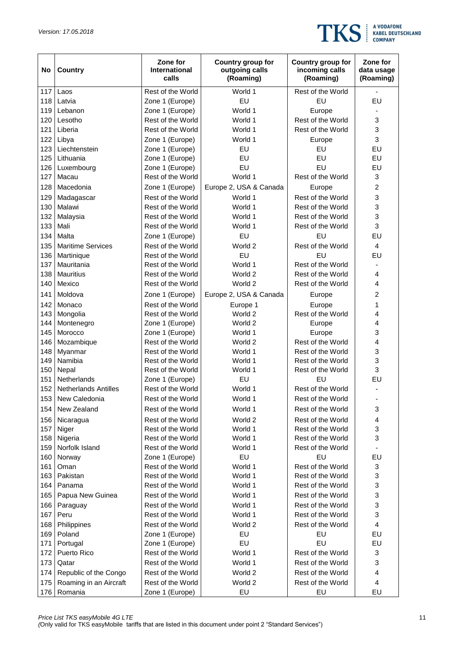

| No  | Country                     | Zone for<br><b>International</b><br>calls | Country group for<br>outgoing calls<br>(Roaming) | Country group for<br>incoming calls<br>(Roaming) | Zone for<br>data usage<br>(Roaming) |
|-----|-----------------------------|-------------------------------------------|--------------------------------------------------|--------------------------------------------------|-------------------------------------|
| 117 | Laos                        | Rest of the World                         | World 1                                          | Rest of the World                                |                                     |
| 118 | Latvia                      | Zone 1 (Europe)                           | EU                                               | EU                                               | EU                                  |
| 119 | Lebanon                     | Zone 1 (Europe)                           | World 1                                          | Europe                                           |                                     |
| 120 | Lesotho                     | Rest of the World                         | World 1                                          | Rest of the World                                | 3                                   |
| 121 | Liberia                     | Rest of the World                         | World 1                                          | Rest of the World                                | 3                                   |
| 122 | Libya                       | Zone 1 (Europe)                           | World 1                                          | Europe                                           | 3                                   |
| 123 | Liechtenstein               | Zone 1 (Europe)                           | EU                                               | EU                                               | EU                                  |
| 125 | Lithuania                   | Zone 1 (Europe)                           | EU                                               | EU                                               | EU                                  |
| 126 | Luxembourg                  | Zone 1 (Europe)                           | EU                                               | EU                                               | EU                                  |
| 127 | Macau                       | Rest of the World                         | World 1                                          | Rest of the World                                | 3                                   |
| 128 | Macedonia                   | Zone 1 (Europe)                           | Europe 2, USA & Canada                           | Europe                                           | $\overline{2}$                      |
| 129 | Madagascar                  | Rest of the World                         | World 1                                          | Rest of the World                                | 3                                   |
| 130 | Malawi                      | Rest of the World                         | World 1                                          | Rest of the World                                | 3                                   |
| 132 | Malaysia                    | Rest of the World                         | World 1                                          | Rest of the World                                | 3                                   |
| 133 | Mali                        | Rest of the World                         | World 1                                          | Rest of the World                                | 3                                   |
| 134 | Malta                       | Zone 1 (Europe)                           | EU                                               | EU                                               | EU                                  |
| 135 | <b>Maritime Services</b>    | Rest of the World                         | World 2                                          | Rest of the World                                | 4                                   |
| 136 | Martinique                  | Rest of the World                         | EU                                               | EU                                               | EU                                  |
| 137 | Mauritania                  | Rest of the World                         | World 1                                          | Rest of the World                                |                                     |
| 138 | <b>Mauritius</b>            | Rest of the World                         | World 2                                          | Rest of the World                                | 4                                   |
| 140 | Mexico                      | Rest of the World                         | World 2                                          | Rest of the World                                | 4                                   |
| 141 | Moldova                     | Zone 1 (Europe)                           | Europe 2, USA & Canada                           | Europe                                           | 2                                   |
| 142 | Monaco                      | Rest of the World                         | Europe 1                                         | Europe                                           | 1                                   |
| 143 | Mongolia                    | Rest of the World                         | World 2                                          | Rest of the World                                | 4                                   |
| 144 | Montenegro                  | Zone 1 (Europe)                           | World 2                                          | Europe                                           | 4                                   |
| 145 | Morocco                     | Zone 1 (Europe)                           | World 1                                          | Europe                                           | 3                                   |
| 146 | Mozambique                  | Rest of the World                         | World 2                                          | Rest of the World                                | 4                                   |
| 148 | Myanmar                     | Rest of the World                         | World 1                                          | Rest of the World                                | 3                                   |
| 149 | Namibia                     | Rest of the World                         | World 1                                          | Rest of the World                                | 3                                   |
| 150 | Nepal                       | Rest of the World                         | World 1                                          | Rest of the World                                | 3                                   |
| 151 | Netherlands                 | Zone 1 (Europe)                           | EU                                               | EU                                               | EU                                  |
| 152 | <b>Netherlands Antilles</b> | Rest of the World                         | World 1                                          | Rest of the World                                |                                     |
| 153 | New Caledonia               | Rest of the World                         | World 1                                          | Rest of the World                                |                                     |
| 154 | New Zealand                 | Rest of the World                         | World 1                                          | Rest of the World                                | 3                                   |
| 156 | Nicaragua                   | Rest of the World                         | World 2                                          | Rest of the World                                | 4                                   |
| 157 | Niger                       | Rest of the World                         | World 1                                          | Rest of the World                                | 3                                   |
| 158 | Nigeria                     | Rest of the World                         | World 1                                          | Rest of the World                                | 3                                   |
| 159 | Norfolk Island              | Rest of the World                         | World 1                                          | Rest of the World                                |                                     |
| 160 | Norway                      | Zone 1 (Europe)                           | EU                                               | EU                                               | EU                                  |
| 161 | Oman                        | Rest of the World                         | World 1                                          | Rest of the World                                | 3                                   |
| 163 | Pakistan                    | Rest of the World                         | World 1                                          | Rest of the World                                | 3                                   |
| 164 | Panama                      | Rest of the World                         | World 1                                          | Rest of the World                                | 3                                   |
| 165 | Papua New Guinea            | Rest of the World                         | World 1                                          | Rest of the World                                | 3                                   |
| 166 | Paraguay                    | Rest of the World                         | World 1                                          | Rest of the World                                | 3                                   |
| 167 | Peru                        | Rest of the World                         | World 1                                          | Rest of the World                                | 3                                   |
| 168 | Philippines                 | Rest of the World                         | World 2                                          | Rest of the World                                | 4                                   |
| 169 | Poland                      | Zone 1 (Europe)                           | EU                                               | EU                                               | EU                                  |
| 171 | Portugal                    | Zone 1 (Europe)                           | EU                                               | EU                                               | EU                                  |
| 172 | Puerto Rico                 | Rest of the World                         | World 1                                          | Rest of the World                                | 3                                   |
| 173 | Qatar                       | Rest of the World                         | World 1                                          | Rest of the World                                | 3                                   |
| 174 | Republic of the Congo       | Rest of the World                         | World 2                                          | Rest of the World                                | 4                                   |
| 175 | Roaming in an Aircraft      | Rest of the World                         | World 2                                          | Rest of the World                                | 4                                   |
| 176 | Romania                     | Zone 1 (Europe)                           | EU                                               | EU                                               | EU                                  |